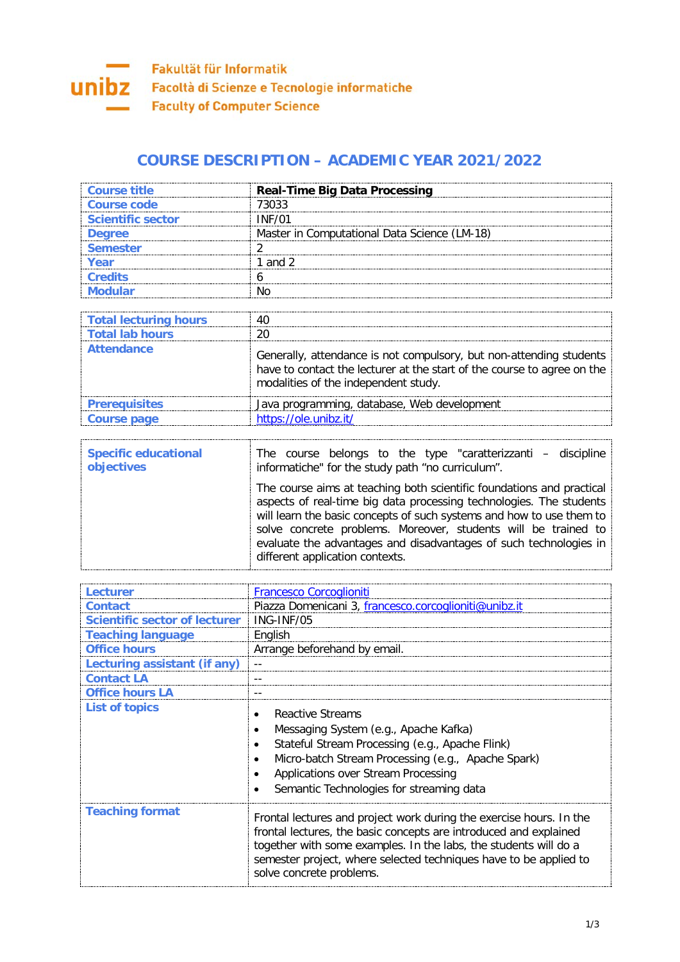

## **COURSE DESCRIPTION – ACADEMIC YEAR 2021/2022**

| Course title             | <b>Real-Time Big Data Processing</b>         |
|--------------------------|----------------------------------------------|
| Course code              | 73033                                        |
| <b>Scientific sector</b> | INF/01                                       |
| <b>Dearee</b>            | Master in Computational Data Science (LM-18) |
| <b>Semester</b>          |                                              |
|                          | and 2                                        |
| <b>Cradite</b>           |                                              |
|                          |                                              |

| Total lecturing hours<br>Total lab hours |                                                                                                                                                                                        |
|------------------------------------------|----------------------------------------------------------------------------------------------------------------------------------------------------------------------------------------|
| <b>Attendance</b>                        | Generally, attendance is not compulsory, but non-attending students<br>have to contact the lecturer at the start of the course to agree on the<br>modalities of the independent study. |
| <b>Prerequisites</b>                     | Java programming, database, Web development                                                                                                                                            |
| Course page                              | https://ole.unibz.it/                                                                                                                                                                  |

| <b>Specific educational</b> | The course belongs to the type "caratterizzanti – discipline                                                                                                                                                                                                                                                                                                                                   |
|-----------------------------|------------------------------------------------------------------------------------------------------------------------------------------------------------------------------------------------------------------------------------------------------------------------------------------------------------------------------------------------------------------------------------------------|
| objectives                  | informatiche" for the study path "no curriculum".                                                                                                                                                                                                                                                                                                                                              |
|                             | The course aims at teaching both scientific foundations and practical<br>aspects of real-time big data processing technologies. The students<br>will learn the basic concepts of such systems and how to use them to<br>solve concrete problems. Moreover, students will be trained to<br>evaluate the advantages and disadvantages of such technologies in<br>different application contexts. |

| Lecturer                      | <b>Francesco Corcoglioniti</b>                                                                                                                                                                                                                                                                                |
|-------------------------------|---------------------------------------------------------------------------------------------------------------------------------------------------------------------------------------------------------------------------------------------------------------------------------------------------------------|
| <b>Contact</b>                | Piazza Domenicani 3, francesco.corcoglioniti@unibz.it                                                                                                                                                                                                                                                         |
| Scientific sector of lecturer | ING-INF/05                                                                                                                                                                                                                                                                                                    |
| <b>Teaching language</b>      | English                                                                                                                                                                                                                                                                                                       |
| <b>Office hours</b>           | Arrange beforehand by email.                                                                                                                                                                                                                                                                                  |
| Lecturing assistant (if any)  |                                                                                                                                                                                                                                                                                                               |
| <b>Contact LA</b>             |                                                                                                                                                                                                                                                                                                               |
| <b>Office hours LA</b>        |                                                                                                                                                                                                                                                                                                               |
| <b>List of topics</b>         | Reactive Streams<br>Messaging System (e.g., Apache Kafka)<br>Stateful Stream Processing (e.g., Apache Flink)<br>Micro-batch Stream Processing (e.g., Apache Spark)<br>Applications over Stream Processing<br>Semantic Technologies for streaming data                                                         |
| <b>Teaching format</b>        | Frontal lectures and project work during the exercise hours. In the<br>frontal lectures, the basic concepts are introduced and explained<br>together with some examples. In the labs, the students will do a<br>semester project, where selected techniques have to be applied to<br>solve concrete problems. |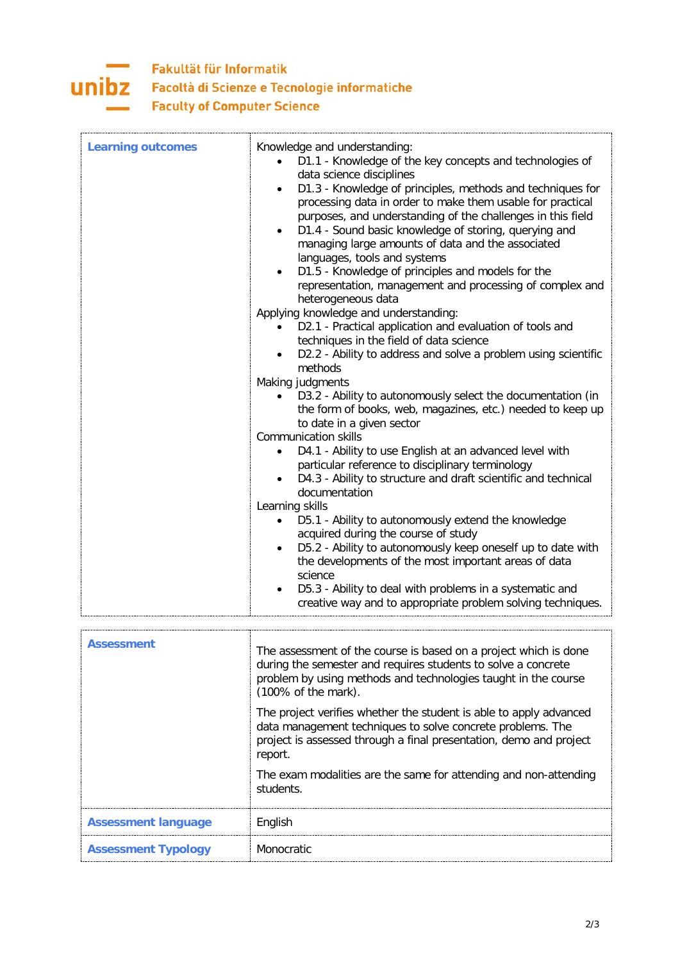

## Fakultät für Informatik Facoltà di Scienze e Tecnologie informatiche **Faculty of Computer Science**

| <b>Learning outcomes</b> | Knowledge and understanding:<br>D1.1 - Knowledge of the key concepts and technologies of<br>data science disciplines<br>D1.3 - Knowledge of principles, methods and techniques for<br>$\bullet$<br>processing data in order to make them usable for practical<br>purposes, and understanding of the challenges in this field<br>D1.4 - Sound basic knowledge of storing, querying and<br>managing large amounts of data and the associated<br>languages, tools and systems<br>D1.5 - Knowledge of principles and models for the<br>representation, management and processing of complex and<br>heterogeneous data<br>Applying knowledge and understanding:<br>D2.1 - Practical application and evaluation of tools and<br>techniques in the field of data science<br>D2.2 - Ability to address and solve a problem using scientific<br>methods<br>Making judgments<br>D3.2 - Ability to autonomously select the documentation (in<br>the form of books, web, magazines, etc.) needed to keep up<br>to date in a given sector<br><b>Communication skills</b><br>D4.1 - Ability to use English at an advanced level with<br>$\bullet$<br>particular reference to disciplinary terminology<br>D4.3 - Ability to structure and draft scientific and technical<br>documentation<br>Learning skills<br>D5.1 - Ability to autonomously extend the knowledge<br>$\bullet$<br>acquired during the course of study<br>D5.2 - Ability to autonomously keep oneself up to date with<br>$\bullet$<br>the developments of the most important areas of data<br>science<br>D5.3 - Ability to deal with problems in a systematic and<br>creative way and to appropriate problem solving techniques. |
|--------------------------|------------------------------------------------------------------------------------------------------------------------------------------------------------------------------------------------------------------------------------------------------------------------------------------------------------------------------------------------------------------------------------------------------------------------------------------------------------------------------------------------------------------------------------------------------------------------------------------------------------------------------------------------------------------------------------------------------------------------------------------------------------------------------------------------------------------------------------------------------------------------------------------------------------------------------------------------------------------------------------------------------------------------------------------------------------------------------------------------------------------------------------------------------------------------------------------------------------------------------------------------------------------------------------------------------------------------------------------------------------------------------------------------------------------------------------------------------------------------------------------------------------------------------------------------------------------------------------------------------------------------------------------------------------------------------------|
| <b>Assessment</b>        | The assessment of the course is based on a project which is done<br>during the semester and requires students to solve a concrete<br>problem by using methods and technologies taught in the course<br>$(100\% \text{ of the mark}).$<br>The project verifies whether the student is able to apply advanced<br>data management techniques to solve concrete problems. The<br>project is assessed through a final presentation, demo and project<br>report.<br>The exam modalities are the same for attending and non-attending<br>students.                                                                                                                                                                                                                                                                                                                                                                                                                                                                                                                                                                                                                                                                                                                                                                                                                                                                                                                                                                                                                                                                                                                                        |